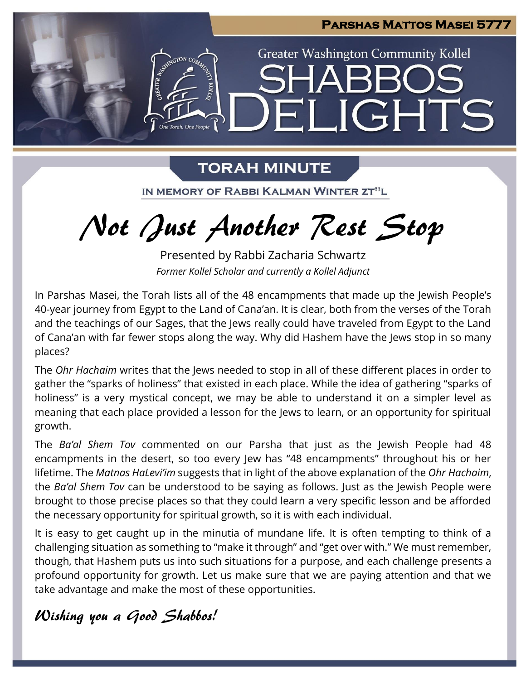

## **TORAH MINUTE**

IN MEMORY OF RABBI KALMAN WINTER ZT"L

Not Just Another Rest Stop

Presented by Rabbi Zacharia Schwartz *Former Kollel Scholar and currently a Kollel Adjunct*

In Parshas Masei, the Torah lists all of the 48 encampments that made up the Jewish People's 40-year journey from Egypt to the Land of Cana'an. It is clear, both from the verses of the Torah and the teachings of our Sages, that the Jews really could have traveled from Egypt to the Land of Cana'an with far fewer stops along the way. Why did Hashem have the Jews stop in so many places?

The *Ohr Hachaim* writes that the Jews needed to stop in all of these different places in order to gather the "sparks of holiness" that existed in each place. While the idea of gathering "sparks of holiness" is a very mystical concept, we may be able to understand it on a simpler level as meaning that each place provided a lesson for the Jews to learn, or an opportunity for spiritual growth.

The *Ba'al Shem Tov* commented on our Parsha that just as the Jewish People had 48 encampments in the desert, so too every Jew has "48 encampments" throughout his or her lifetime. The *Matnas HaLevi'im* suggests that in light of the above explanation of the *Ohr Hachaim*, the *Ba'al Shem Tov* can be understood to be saying as follows. Just as the Jewish People were brought to those precise places so that they could learn a very specific lesson and be afforded the necessary opportunity for spiritual growth, so it is with each individual.

It is easy to get caught up in the minutia of mundane life. It is often tempting to think of a challenging situation as something to "make it through" and "get over with." We must remember, though, that Hashem puts us into such situations for a purpose, and each challenge presents a profound opportunity for growth. Let us make sure that we are paying attention and that we take advantage and make the most of these opportunities.

## Wishing you a Good Shabbos!